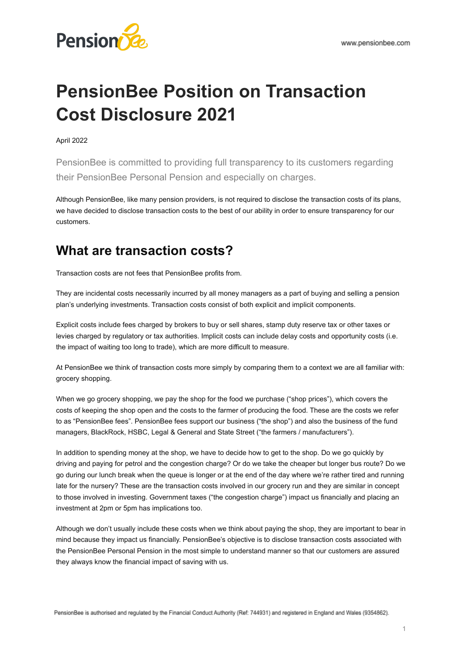# **PensionBee Position on Transaction Cost Disclosure 2021**

#### April 2022

PensionBee is committed to providing full transparency to its customers regarding their PensionBee Personal Pension and especially on charges.

Although PensionBee, like many pension providers, is not required to disclose the transaction costs of its plans, we have decided to disclose transaction costs to the best of our ability in order to ensure transparency for our customers.

### **What are transaction costs?**

Transaction costs are not fees that PensionBee profits from.

They are incidental costs necessarily incurred by all money managers as a part of buying and selling a pension plan's underlying investments. Transaction costs consist of both explicit and implicit components.

Explicit costs include fees charged by brokers to buy or sell shares, stamp duty reserve tax or other taxes or levies charged by regulatory or tax authorities. Implicit costs can include delay costs and opportunity costs (i.e. the impact of waiting too long to trade), which are more difficult to measure.

At PensionBee we think of transaction costs more simply by comparing them to a context we are all familiar with: grocery shopping.

When we go grocery shopping, we pay the shop for the food we purchase ("shop prices"), which covers the costs of keeping the shop open and the costs to the farmer of producing the food. These are the costs we refer to as "PensionBee fees". PensionBee fees support our business ("the shop") and also the business of the fund managers, BlackRock, HSBC, Legal & General and State Street ("the farmers / manufacturers").

In addition to spending money at the shop, we have to decide how to get to the shop. Do we go quickly by driving and paying for petrol and the congestion charge? Or do we take the cheaper but longer bus route? Do we go during our lunch break when the queue is longer or at the end of the day where we're rather tired and running late for the nursery? These are the transaction costs involved in our grocery run and they are similar in concept to those involved in investing. Government taxes ("the congestion charge") impact us financially and placing an investment at 2pm or 5pm has implications too.

Although we don't usually include these costs when we think about paying the shop, they are important to bear in mind because they impact us financially. PensionBee's objective is to disclose transaction costs associated with the PensionBee Personal Pension in the most simple to understand manner so that our customers are assured they always know the financial impact of saving with us.

PensionBee is authorised and regulated by the Financial Conduct Authority (Ref: 744931) and registered in England and Wales (9354862).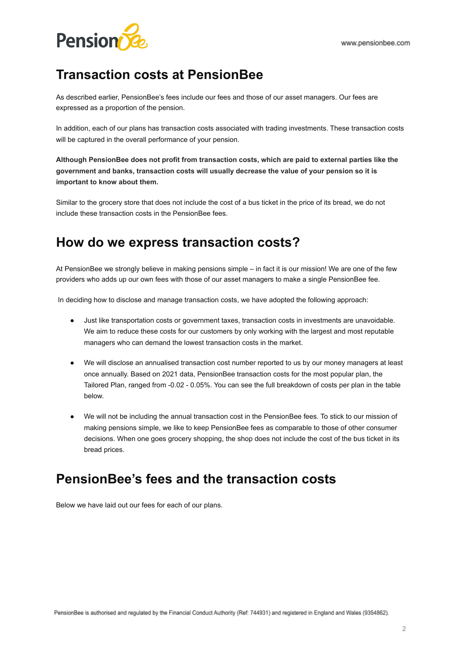

# **Transaction costs at PensionBee**

As described earlier, PensionBee's fees include our fees and those of our asset managers. Our fees are expressed as a proportion of the pension.

In addition, each of our plans has transaction costs associated with trading investments. These transaction costs will be captured in the overall performance of your pension.

**Although PensionBee does not profit from transaction costs, which are paid to external parties like the government and banks, transaction costs will usually decrease the value of your pension so it is important to know about them.**

Similar to the grocery store that does not include the cost of a bus ticket in the price of its bread, we do not include these transaction costs in the PensionBee fees.

## **How do we express transaction costs?**

At PensionBee we strongly believe in making pensions simple – in fact it is our mission! We are one of the few providers who adds up our own fees with those of our asset managers to make a single PensionBee fee.

In deciding how to disclose and manage transaction costs, we have adopted the following approach:

- Just like transportation costs or government taxes, transaction costs in investments are unavoidable. We aim to reduce these costs for our customers by only working with the largest and most reputable managers who can demand the lowest transaction costs in the market.
- We will disclose an annualised transaction cost number reported to us by our money managers at least once annually. Based on 2021 data, PensionBee transaction costs for the most popular plan, the Tailored Plan, ranged from -0.02 - 0.05%. You can see the full breakdown of costs per plan in the table below.
- We will not be including the annual transaction cost in the PensionBee fees. To stick to our mission of making pensions simple, we like to keep PensionBee fees as comparable to those of other consumer decisions. When one goes grocery shopping, the shop does not include the cost of the bus ticket in its bread prices.

### **PensionBee's fees and the transaction costs**

Below we have laid out our fees for each of our plans.